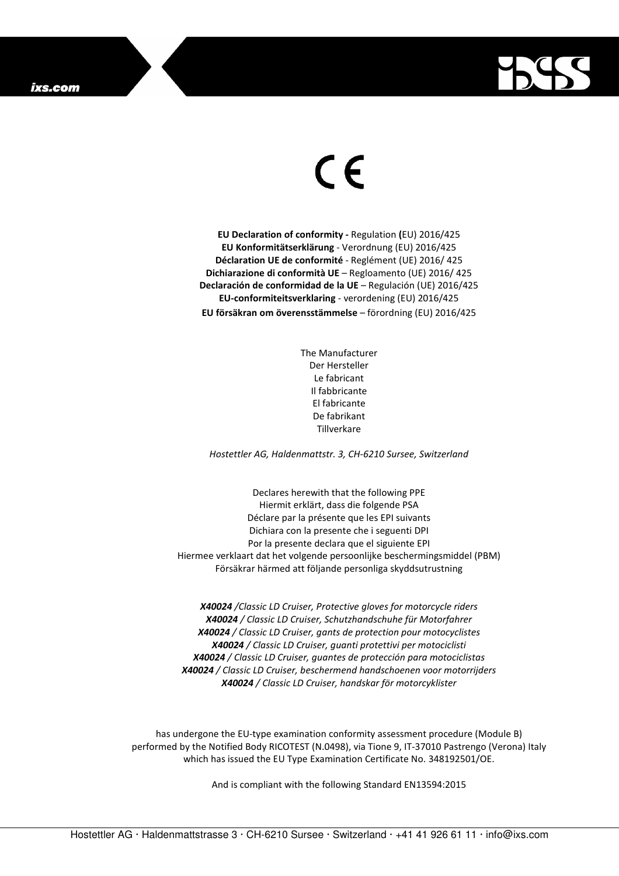

## $\in$

**EU Declaration of conformity -** Regulation **(**EU) 2016/425 **EU Konformitätserklärung** - Verordnung (EU) 2016/425 **Déclaration UE de conformité** - Reglément (UE) 2016/ 425 **Dichiarazione di conformità UE** – Regloamento (UE) 2016/ 425 **Declaración de conformidad de la UE** – Regulación (UE) 2016/425 **EU-conformiteitsverklaring** - verordening (EU) 2016/425 **EU försäkran om överensstämmelse** – förordning (EU) 2016/425

> The Manufacturer Der Hersteller Le fabricant Il fabbricante El fabricante De fabrikant Tillverkare

*Hostettler AG, Haldenmattstr. 3, CH-6210 Sursee, Switzerland* 

Declares herewith that the following PPE Hiermit erklärt, dass die folgende PSA Déclare par la présente que les EPI suivants Dichiara con la presente che i seguenti DPI Por la presente declara que el siguiente EPI Hiermee verklaart dat het volgende persoonlijke beschermingsmiddel (PBM) Försäkrar härmed att följande personliga skyddsutrustning

*X40024 /Classic LD Cruiser, Protective gloves for motorcycle riders X40024 / Classic LD Cruiser, Schutzhandschuhe für Motorfahrer X40024 / Classic LD Cruiser, gants de protection pour motocyclistes X40024 / Classic LD Cruiser, guanti protettivi per motociclisti X40024 / Classic LD Cruiser, guantes de protección para motociclistas X40024 / Classic LD Cruiser, beschermend handschoenen voor motorrijders X40024 / Classic LD Cruiser, handskar för motorcyklister* 

has undergone the EU-type examination conformity assessment procedure (Module B) performed by the Notified Body RICOTEST (N.0498), via Tione 9, IT-37010 Pastrengo (Verona) Italy which has issued the EU Type Examination Certificate No. 348192501/OE.

And is compliant with the following Standard EN13594:2015